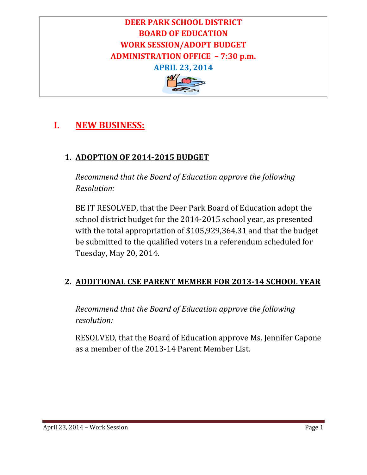# **DEER PARK SCHOOL DISTRICT BOARD OF EDUCATION WORK SESSION/ADOPT BUDGET ADMINISTRATION OFFICE – 7:30 p.m. APRIL 23, 2014**



## **I. NEW BUSINESS:**

### **1. ADOPTION OF 2014‐2015 BUDGET**

*Recommend that the Board of Education approve the following Resolution:*

BE IT RESOLVED, that the Deer Park Board of Education adopt the school district budget for the 2014-2015 school year, as presented with the total appropriation of  $$105,929,364.31$  and that the budget be submitted to the qualified voters in a referendum scheduled for Tuesday, May 20, 2014.

### **2. ADDITIONAL CSE PARENT MEMBER FOR 2013‐14 SCHOOL YEAR**

*Recommend that the Board of Education approve the following resolution:*

RESOLVED, that the Board of Education approve Ms. Jennifer Capone as a member of the 2013-14 Parent Member List.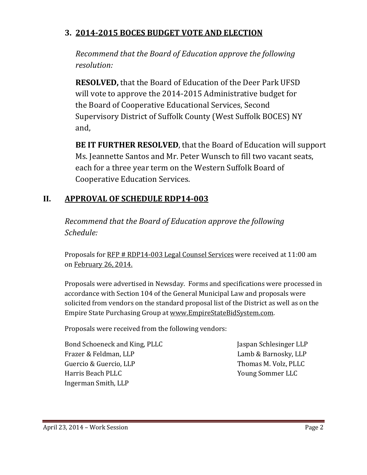### **3. 2014‐2015 BOCES BUDGET VOTE AND ELECTION**

*Recommend that the Board of Education approve the following resolution:*

**RESOLVED,** that the Board of Education of the Deer Park UFSD will vote to approve the 2014-2015 Administrative budget for the Board of Cooperative Educational Services, Second Supervisory District of Suffolk County (West Suffolk BOCES) NY and, 

**BE IT FURTHER RESOLVED**, that the Board of Education will support Ms. Jeannette Santos and Mr. Peter Wunsch to fill two vacant seats, each for a three year term on the Western Suffolk Board of Cooperative Education Services.

### **II. APPROVAL OF SCHEDULE RDP14‐003**

*Recommend that the Board of Education approve the following Schedule:*

Proposals for RFP # RDP14-003 Legal Counsel Services were received at 11:00 am on February 26, 2014.

Proposals were advertised in Newsday. Forms and specifications were processed in accordance with Section 104 of the General Municipal Law and proposals were solicited from vendors on the standard proposal list of the District as well as on the Empire State Purchasing Group at www.EmpireStateBidSystem.com.

Proposals were received from the following vendors:

Bond Schoeneck and King, PLLC Jaspan Schlesinger LLP Frazer & Feldman, LLP **International Contract Contract Contract Contract Contract Contract Contract Contract Contract Contract Contract Contract Contract Contract Contract Contract Contract Contract Contract Contract Contr** Guercio & Guercio, LLP Thomas M. Volz, PLLC Harris Beach PLLC *N Sommer LLC Young Sommer LLC* Ingerman Smith, LLP